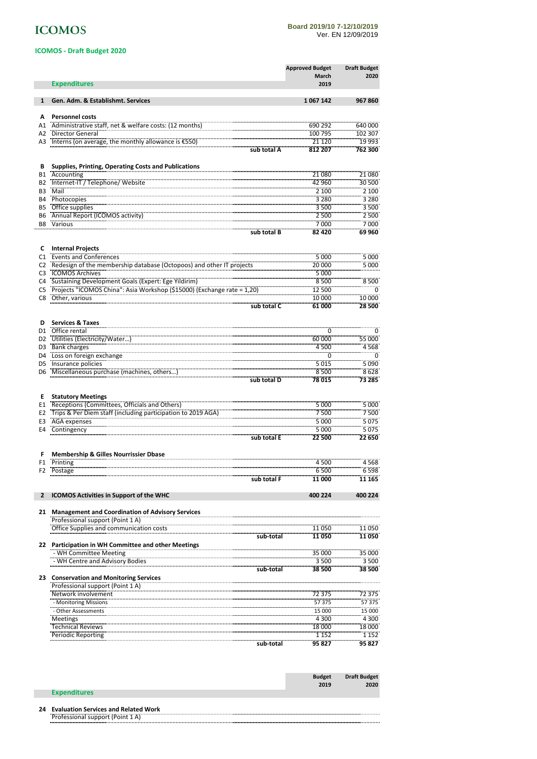# **ICOMOS**

#### **Board 2019/10 7-12/10/2019** Ver. EN 12/09/2019

|                        | <b>ICOMOS - Draft Budget 2020</b>                                                                                                                         |                                 |                             |
|------------------------|-----------------------------------------------------------------------------------------------------------------------------------------------------------|---------------------------------|-----------------------------|
|                        |                                                                                                                                                           | <b>Approved Budget</b><br>March | <b>Draft Budget</b><br>2020 |
|                        | <b>Expenditures</b>                                                                                                                                       | 2019                            |                             |
| 1                      | Gen. Adm. & Establishmt. Services                                                                                                                         | 1067142                         | 967860                      |
| А                      | <b>Personnel costs</b>                                                                                                                                    |                                 |                             |
| A1                     | Administrative staff, net & welfare costs: (12 months)                                                                                                    | 690 292                         | 640 000                     |
| A2                     | <b>Director General</b>                                                                                                                                   | 100 795                         | 102 307                     |
| A3                     | Interns (on average, the monthly allowance is $(5550)$ )                                                                                                  | 21 1 20<br>812 207              | 19 993<br>762 300           |
|                        | sub total A                                                                                                                                               |                                 |                             |
| В                      | Supplies, Printing, Operating Costs and Publications                                                                                                      |                                 |                             |
| <b>B1</b>              | Accounting                                                                                                                                                | 21 080                          | 21 080                      |
| <b>B2</b>              | Internet-IT / Telephone/ Website<br>Mail                                                                                                                  | 42 960<br>2 100                 | 30 500<br>2 100             |
| B <sub>3</sub>         | Photocopies                                                                                                                                               | 3 2 8 0                         | 3 2 8 0                     |
| <b>B4</b>              | Office supplies                                                                                                                                           |                                 | 3500                        |
| <b>B5</b>              | Annual Report (ICOMOS activity)                                                                                                                           | 3 500<br>2 500                  | 2 500                       |
| <b>B6</b><br><b>B8</b> | Various                                                                                                                                                   | 7000                            | 7000                        |
|                        |                                                                                                                                                           | 82 4 20                         | 69 960                      |
|                        | sub total B                                                                                                                                               |                                 |                             |
| C                      | <b>Internal Projects</b>                                                                                                                                  |                                 |                             |
| C1                     | <b>Events and Conferences</b>                                                                                                                             | 5 0 0 0                         | 5 0 0 0                     |
| C <sub>2</sub>         | Redesign of the membership database (Octopoos) and other IT projects                                                                                      | 20 000                          | $\frac{1}{5}000$            |
| C <sub>3</sub>         | <b>ICOMOS Archives</b>                                                                                                                                    | 5 000                           |                             |
| C <sub>4</sub>         | Sustaining Development Goals (Expert: Ege Yildirim)                                                                                                       | 8500                            | 8500                        |
| C <sub>5</sub>         | Projects "iCOMOS China": Asia Workshop (\$15000) (Exchange rate = 1,20)<br>Other, various "Exchange rate": Asia Workshop (\$15000) (Exchange rate = 1,20) | 12 500                          | 0                           |
| C <sub>8</sub>         |                                                                                                                                                           | 10 000                          | 10000                       |
|                        | sub total C                                                                                                                                               | 61 000                          | 28 500                      |
|                        |                                                                                                                                                           |                                 |                             |
| D                      | <b>Services &amp; Taxes</b>                                                                                                                               |                                 |                             |
| D <sub>1</sub>         | Office rental                                                                                                                                             | 0                               | -0                          |
| D <sub>2</sub>         | Utilities (Electricity/Water                                                                                                                              | 60 000                          | 55 000                      |
| D <sub>3</sub>         | Bank charges                                                                                                                                              | 4 500                           | 4568                        |
| D <sub>4</sub>         | Loss on foreign exchange<br>                                                                                                                              | Ö                               | $\overline{\phantom{a}}$    |
| D <sub>5</sub>         | Insurance policies                                                                                                                                        | 5015                            | 5090                        |
| D6                     | Miscellaneous purchase (machines, others<br>sub total D                                                                                                   | 8500<br>78015                   | 8628<br>73 285              |
|                        |                                                                                                                                                           |                                 |                             |
| Е                      | <b>Statutory Meetings</b>                                                                                                                                 |                                 |                             |
| E1                     | Receptions (Committees, Officials and Others)                                                                                                             | 5 000                           | 5 000                       |
| E <sub>2</sub>         | Trips & Per Diem staff (including participation to 2019 AGA)                                                                                              | 7500                            | 7500                        |
| E3                     | AGA expenses                                                                                                                                              | 5 000                           | 5075                        |
| E4                     | Contingency                                                                                                                                               | 5 000                           | 5075                        |
|                        | sub total E                                                                                                                                               | 22 500                          | 22 650                      |
| F                      | <b>Membership &amp; Gilles Nourrissier Dbase</b>                                                                                                          |                                 |                             |
| F1                     | Printing                                                                                                                                                  |                                 |                             |
| F <sub>2</sub>         |                                                                                                                                                           | 4 500<br>6500                   | 4 568                       |
|                        | Postage<br>sub total F                                                                                                                                    | 11 000                          | 6598<br>11 165              |
|                        |                                                                                                                                                           |                                 |                             |
| $\mathbf{2}$           | ICOMOS Activities in Support of the WHC                                                                                                                   | 400 224                         | 400 224                     |
|                        |                                                                                                                                                           |                                 |                             |
|                        | 21 Management and Coordination of Advisory Services<br>Professional support (Point 1 A)                                                                   |                                 |                             |
|                        | Office Supplies and communication costs                                                                                                                   | 11050                           | 11050                       |
|                        |                                                                                                                                                           |                                 | 11 050                      |
|                        | sub-total<br>22 Participation in WH Committee and other Meetings                                                                                          | 11050                           |                             |
|                        | - WH Committee Meeting                                                                                                                                    | 35 000                          | 35 000                      |
|                        | - WH Centre and Advisory Bodies                                                                                                                           | 3 500                           | 3 500                       |
|                        | sub-total                                                                                                                                                 | 38 500                          | 38 500                      |
|                        | 23 Conservation and Monitoring Services<br>Professional support (Point 1 A)                                                                               |                                 |                             |
|                        |                                                                                                                                                           |                                 |                             |
|                        | Network involvement                                                                                                                                       | 72 375                          | 72 375                      |
|                        | - Monitoring Missions                                                                                                                                     | 57 375                          | 57 375                      |
|                        | - Other Assessments                                                                                                                                       | 15 000                          | 15 000                      |
|                        | Meetings                                                                                                                                                  | 4 3 0 0                         | 4 3 0 0                     |
|                        | <b>Technical Reviews</b>                                                                                                                                  | 18 000                          | 18 000                      |
|                        | Periodic Reporting                                                                                                                                        | 1 1 5 2                         | 1 1 5 2                     |
|                        | sub-total                                                                                                                                                 | 95 827                          | 95827                       |
|                        |                                                                                                                                                           |                                 |                             |

|                     | <b>Budget</b> | <b>Draft Budget</b> |
|---------------------|---------------|---------------------|
|                     | 2019          | 2020                |
| <b>Expenditures</b> |               |                     |

#### **24 Evaluation Services and Related Work**

. . . . . . . . . Professional support (Point 1 A) ........................ . . . . . . . . .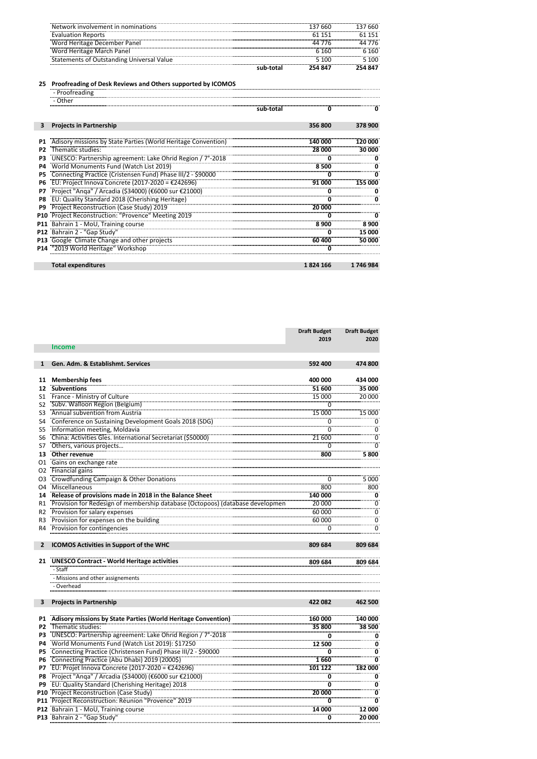| Network involvement in nominations        | 137 660   | 137 660 |
|-------------------------------------------|-----------|---------|
| <b>Evaluation Reports</b>                 | 151       | 151     |
| Word Heritage December Panel              | $\Lambda$ | 44 776  |
| Word Heritage March Panel                 |           | 6 160   |
| Statements of Outstanding Universal Value | 5 100     | ; 100   |
|                                           | 254 847   | 254847  |

## **25 Proofreading of Desk Reviews and Others supported by ICOMOS**

|                | - Proofreading                                                                                                                                                                                                                          |           |          |         |
|----------------|-----------------------------------------------------------------------------------------------------------------------------------------------------------------------------------------------------------------------------------------|-----------|----------|---------|
|                |                                                                                                                                                                                                                                         |           |          |         |
|                |                                                                                                                                                                                                                                         | sub-total |          |         |
|                |                                                                                                                                                                                                                                         |           |          |         |
|                | <b>Projects in Partnership</b>                                                                                                                                                                                                          |           | 356800   | 378 900 |
|                |                                                                                                                                                                                                                                         |           |          |         |
| <b>P1</b>      | Adisory missions by State Parties (World Heritage Convention)<br>Themstic studies: [28] 28 000                                                                                                                                          |           |          |         |
| P <sub>2</sub> |                                                                                                                                                                                                                                         |           |          | nnr     |
| P3             | UNESCO: Partnership agreement: Lake Ohird Region / 7°-2018                                                                                                                                                                              |           |          |         |
| <b>P4</b>      | World Monuments Fund (Watch List 2019)                                                                                                                                                                                                  |           | 8500     |         |
| P5             |                                                                                                                                                                                                                                         |           |          |         |
| <b>P6</b>      | Connecting Practice (Cristensen Fund) Phase III/2 - \$90000<br>EU: Project Innova Concrete (2017-2020 = €242696)<br>Project "Anga" / Arcadia (\$34000) (€6000 sur €21000)<br>EU: Quality Standard 2018 (Cherishing Heritage)<br>EU: Qua |           |          |         |
| P7             |                                                                                                                                                                                                                                         |           |          |         |
| P8             |                                                                                                                                                                                                                                         |           |          |         |
| P9             | Project Reconstruction (Case Study) 2019                                                                                                                                                                                                |           |          |         |
|                |                                                                                                                                                                                                                                         |           |          |         |
|                |                                                                                                                                                                                                                                         |           |          | 8900    |
|                | P12 Bahrain 2 - "Gap Study"                                                                                                                                                                                                             |           |          | 15 000  |
|                |                                                                                                                                                                                                                                         |           |          | 50,000  |
|                | P14 "2019 World Heritage" Workshop                                                                                                                                                                                                      |           |          |         |
|                |                                                                                                                                                                                                                                         |           |          |         |
|                | <b>Total expenditures</b>                                                                                                                                                                                                               |           | 1824 166 | 1746984 |
|                |                                                                                                                                                                                                                                         |           |          |         |

|                |                                                                                                                                                   | <b>Draft Budget</b> | <b>Draft Budget</b>      |
|----------------|---------------------------------------------------------------------------------------------------------------------------------------------------|---------------------|--------------------------|
|                |                                                                                                                                                   | 2019                | 2020                     |
|                | <b>Income</b>                                                                                                                                     |                     |                          |
|                |                                                                                                                                                   |                     |                          |
| $\mathbf{1}$   | Gen. Adm. & Establishmt. Services                                                                                                                 | 592 400             | 474 800                  |
|                |                                                                                                                                                   |                     |                          |
| 11             | <b>Membership fees</b>                                                                                                                            | 400 000             | 434 000                  |
| 12             | <b>Subventions</b>                                                                                                                                | 51 600              | 35 000                   |
| S1             | France - Ministry of Culture                                                                                                                      | 15 000              | 20 000                   |
| S <sub>2</sub> | Subv. Walloon Region (Belgium)                                                                                                                    | 0                   |                          |
| S <sub>3</sub> | Annual subvention from Austria                                                                                                                    | 15 000<br>          | 15 000                   |
| S4             | Annual supvention if one Austria<br>Conference on Sustaining Development Goals 2018 (SDG)                                                         | 0                   | 0                        |
| S5             | Information meeting, Moldavia                                                                                                                     | $\overline{0}$      | $\overline{\phantom{a}}$ |
| S <sub>6</sub> |                                                                                                                                                   | 21 600              | $\overline{0}$           |
| S7             |                                                                                                                                                   | 0                   | $\overline{0}$           |
| 13             | China: Activities Gles. International Secretariat (\$50000)<br>Others, various projects<br>Other revenue                                          | 800                 | 5800                     |
| 01             | Gains on exchange rate                                                                                                                            |                     |                          |
| 02             | Financial gains                                                                                                                                   |                     |                          |
| O3             | Crowdfunding Campaign & Other Donations                                                                                                           |                     | 5 000                    |
| O <sub>4</sub> | Miscellaneous                                                                                                                                     | 800                 | 800                      |
| 14             | <b>Release of provisions made in 2018 in the Balance Sheet</b><br>Provision for Redesign of membership database (Octopoos) (database development) | 140 000             | - 0                      |
| R1             |                                                                                                                                                   | 20 000              | $\overline{\phantom{a}}$ |
| R <sub>2</sub> | Provision for salary expenses                                                                                                                     | 60 000              | $\overline{0}$           |
| R <sub>3</sub> | Provision for expenses on the building                                                                                                            | 60 000              | $\overline{0}$           |
| R4             | Provision for contingencies                                                                                                                       | 0                   | ö                        |
|                |                                                                                                                                                   |                     |                          |
| $\overline{2}$ | ICOMOS Activities in Support of the WHC                                                                                                           | 809 684             | 809 684                  |
|                |                                                                                                                                                   |                     |                          |
|                | 21 UNESCO Contract - World Heritage activities                                                                                                    | 809 684             | 809 684                  |
|                | - Staff                                                                                                                                           |                     |                          |
|                | - Missions and other assignements                                                                                                                 |                     |                          |
|                | - Overhead                                                                                                                                        |                     |                          |
|                |                                                                                                                                                   |                     |                          |
| 3              | <b>Projects in Partnership</b>                                                                                                                    | 422 082             | 462 500                  |
|                |                                                                                                                                                   |                     |                          |
| <b>P1</b>      | Adisory missions by State Parties (World Heritage Convention)                                                                                     | 160 000             | 140 000                  |
| P <sub>2</sub> | Thematic studies:                                                                                                                                 | 35 800              | 38 500                   |
| P3             | UNESCO: Partnership agreement: Lake Ohrid Region / 7°-2018<br>World Monuments Fund (Watch List 2019): \$17250                                     | <br>0               | 0                        |
| P4             |                                                                                                                                                   | 12 500              | 0                        |
| <b>P5</b>      | Connecting Practice (Christensen Fund) Phase III/2 - \$90000                                                                                      |                     | -- ŏ                     |
| P6             |                                                                                                                                                   | 1660                | $\overline{0}$           |
| P7             | Connecting Practice (Abu Dhabi) 2019 (2000\$)<br>EU: Projet Innova Concrete (2017-2020 = €242696)                                                 | 101 122             | 182 000                  |
| P8             |                                                                                                                                                   | 0                   |                          |
| P9             | Project "Anga" / Arcadia (\$34000) (€6000 sur €21000)<br>EU: Quality Standard (Cherishing Heritage) 2018                                          | ة                   | $\overline{\phantom{a}}$ |
|                | P10 Project Reconstruction (Case Study)                                                                                                           | 20 000              | $\overline{0}$           |
|                | P11 Project Reconstruction: Reunion "Provence" 2019                                                                                               | 0                   | Ō                        |
|                | P12 Bahrain 1 - MoU, Training course                                                                                                              | 14 000              | 12 000                   |
|                | P13 Bahrain 2 - "Gap Study"                                                                                                                       | 0                   | 20 000                   |
|                |                                                                                                                                                   |                     |                          |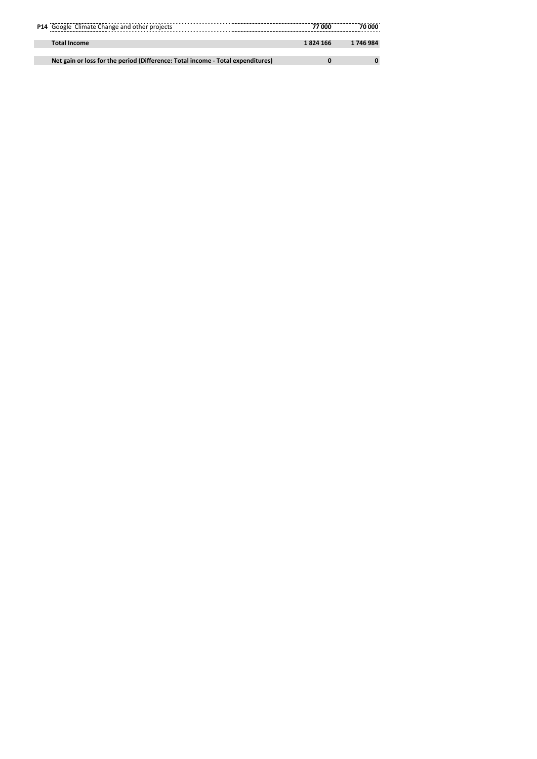| P14 Google Climate Change and other projects                                    | 77 OOC    | ı nnn     |
|---------------------------------------------------------------------------------|-----------|-----------|
| Total Income                                                                    | 1 824 166 | 1 746 984 |
|                                                                                 |           |           |
| Net gain or loss for the period (Difference: Total income - Total expenditures) |           |           |
|                                                                                 |           |           |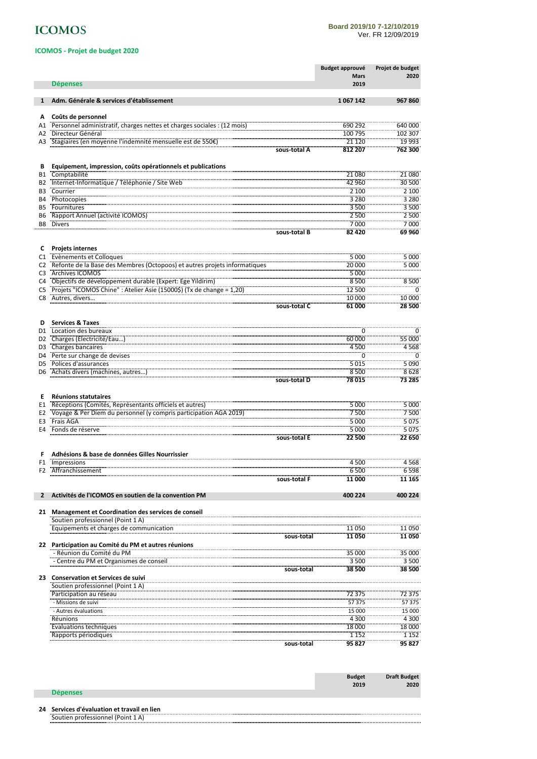# **ICOMOS**

## **ICOMOS - Projet de budget 2020**

|                             |                                                                                                                                                                                     |              | <b>Budget approuvé</b> | Projet de budget         |
|-----------------------------|-------------------------------------------------------------------------------------------------------------------------------------------------------------------------------------|--------------|------------------------|--------------------------|
|                             |                                                                                                                                                                                     |              | <b>Mars</b>            | 2020                     |
|                             | <b>Dépenses</b>                                                                                                                                                                     |              | 2019                   |                          |
| $\mathbf{1}$                | Adm. Générale & services d'établissement                                                                                                                                            |              | 1067142                | 967 860                  |
|                             |                                                                                                                                                                                     |              |                        |                          |
| А                           | Coûts de personnel<br>Personnel administratif, charges nettes et charges sociales : (12 mois)                                                                                       |              | 690 292                | 640 000                  |
| A1<br>A2                    | Directeur Général                                                                                                                                                                   |              | 100 795                | 102 307                  |
| A3                          | Stagiaires (en moyenne l'indemnité mensuelle est de 550€)                                                                                                                           |              | 21 1 20                | 19 9 93                  |
|                             |                                                                                                                                                                                     | sous-total A | 812 207                | 762 300                  |
|                             |                                                                                                                                                                                     |              |                        |                          |
| В                           | Equipement, impression, coûts opérationnels et publications                                                                                                                         |              |                        |                          |
| <b>B1</b>                   | Comptabilité<br>Internet-Informatique / Téléphonie / Site Web                                                                                                                       |              | 21080<br>42 960        | 21 080<br>30 500         |
| <b>B2</b><br>B <sub>3</sub> | Courrier                                                                                                                                                                            |              | 2 100                  | $\frac{1}{2}$            |
| <b>B4</b>                   | <b>Photocopies</b>                                                                                                                                                                  |              | 3 2 8 0                | 3 2 8 0                  |
| <b>B5</b>                   | Fournitures                                                                                                                                                                         |              | 3 500                  | 3500                     |
| B6                          | Rapport Annuel (activité ICOMOS)                                                                                                                                                    |              | 2 500                  | 2500                     |
| B <sub>8</sub>              | <b>Divers</b>                                                                                                                                                                       |              | 7000                   | 7000                     |
|                             |                                                                                                                                                                                     | sous-total B | 82 4 20                | 69960                    |
| c                           | <b>Projets internes</b>                                                                                                                                                             |              |                        |                          |
| C1                          | Evènements et Colloques                                                                                                                                                             |              | 5 0 0 0                | 5 000                    |
| C <sub>2</sub>              | Refonte de la Base des Membres (Octopoos) et autres projets informatiques                                                                                                           |              | 20 000                 | 5000                     |
| C <sub>3</sub>              | Archives ICOMOS                                                                                                                                                                     |              | 5 000                  |                          |
| C <sub>4</sub>              | Objectifs de développement durable (Expert: Ege Yildirim)<br>Projets "ICOMOS Chine" : Atelier Asie (150005) (Tx de change = 1,20)                                                   |              | 8 500                  | 8500                     |
| C <sub>5</sub>              | Autres, divers                                                                                                                                                                      |              | 12 500<br>10 000       | $\overline{0}$<br>10 000 |
| C8                          |                                                                                                                                                                                     |              | 61 000                 | 28 500                   |
|                             |                                                                                                                                                                                     | sous-total C |                        |                          |
| D                           | <b>Services &amp; Taxes</b>                                                                                                                                                         |              |                        |                          |
| D <sub>1</sub>              | Location des bureaux                                                                                                                                                                |              |                        | $\overline{0}$           |
| D <sub>2</sub>              | Charges (Electricité/Eau)<br>Charges bancaires                                                                                                                                      |              | 60 000                 | 55 000                   |
| D <sub>3</sub>              |                                                                                                                                                                                     |              | 4500                   | 4568<br>—<br>0           |
| D4                          | Perte sur change de devises                                                                                                                                                         |              | $\overline{0}$<br>5015 | 5 0 9 0                  |
| D5<br>D6                    | Achats divers (machines, autres)                                                                                                                                                    |              | 8500                   | 8628                     |
|                             |                                                                                                                                                                                     | sous-total D | 78015                  | 73 285                   |
|                             |                                                                                                                                                                                     |              |                        |                          |
| Е                           | <b>Réunions statutaires</b>                                                                                                                                                         |              |                        |                          |
| E1                          | ncomentation in the separature officiels et autres)<br>Réceptions (Comités, Représentants officiels et autres)<br>Voyage & Per Diem du personnel (y compris participation AGA 2019) |              | 5 000                  | 5 000                    |
| E2<br>E3                    | Frais AGA                                                                                                                                                                           |              | 7500<br>5 000          | 7500<br>5 0 7 5          |
| E4                          | Fonds de réserve                                                                                                                                                                    |              | 5 000                  | 5075                     |
|                             |                                                                                                                                                                                     | sous-total E | 22 500                 | 22 650                   |
|                             |                                                                                                                                                                                     |              |                        |                          |
|                             | Adhésions & base de données Gilles Nourrissier                                                                                                                                      |              |                        |                          |
| F1                          | Impressions                                                                                                                                                                         |              | 4500                   | 4568                     |
|                             | F2 Affranchissement                                                                                                                                                                 | sous-total F | 6 500<br>11 000        | 6598<br>11 165           |
|                             |                                                                                                                                                                                     |              |                        |                          |
| $\mathbf{2}$                | Activités de l'ICOMOS en soutien de la convention PM                                                                                                                                |              | 400 224                | 400 224                  |
|                             |                                                                                                                                                                                     |              |                        |                          |
|                             | 21 Management et Coordination des services de conseil                                                                                                                               |              |                        |                          |
|                             | Soutien professionnel (Point 1 A)<br>Equipements et charges de communication                                                                                                        |              | 11 050                 | 11 050                   |
|                             |                                                                                                                                                                                     | sous-total   | 11 050                 | 11050                    |
|                             | 22 Participation au Comité du PM et autres réunions                                                                                                                                 |              |                        |                          |
|                             | - Réunion du Comité du PM                                                                                                                                                           |              | 35 000                 | 35 000                   |
|                             | - Centre du PM et Organismes de conseil                                                                                                                                             |              | 3500                   | 3 500                    |
|                             |                                                                                                                                                                                     | sous-total   | 38 500                 | 38 500                   |
|                             | 23 Conservation et Services de suivi<br>Soutien professionnel (Point 1 A)                                                                                                           |              |                        |                          |
|                             | Participation au réseau                                                                                                                                                             |              | 72 375                 | 72 375                   |
|                             | - Missions de suivi                                                                                                                                                                 |              | 57 375                 | 57375                    |
|                             | - Autres évaluations                                                                                                                                                                |              | <br>15 000             | 15 000                   |
|                             | Réunions                                                                                                                                                                            |              | 4 300                  | 4 300                    |
|                             | <b>Evaluations techniques</b>                                                                                                                                                       |              | 18 000                 | 18 000                   |
|                             | Rapports periodiques                                                                                                                                                                |              | 1 1 5 2                | 1 1 5 2<br>95 827        |
|                             |                                                                                                                                                                                     | sous-total   | 95 827                 |                          |
|                             |                                                                                                                                                                                     |              |                        |                          |

|                 | <b>Budget</b> | <b>Draft Budget</b> |
|-----------------|---------------|---------------------|
|                 | 2019          | 2020                |
| <b>Dépenses</b> |               |                     |

#### **24 Services d'évaluation et travail en lien**

Soutien professionnel (Point 1 A)........... .................. . . . . . . .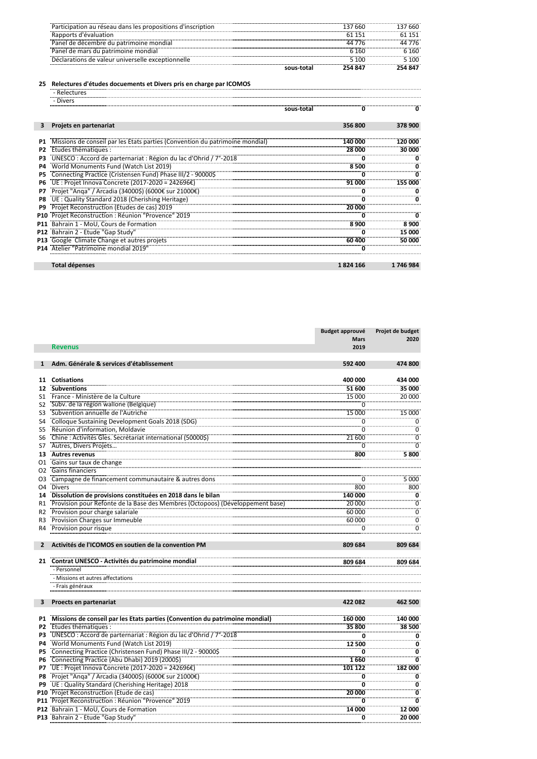| -----------------------------------<br>ticipation au réseau dans les propositions d'inscription | 660     | 660                   |
|-------------------------------------------------------------------------------------------------|---------|-----------------------|
| ipports d'évaluation                                                                            |         |                       |
| Panel de décembre du patrimoine mondial                                                         |         | .<br>.                |
| Panel de mars du patrimoine mondial                                                             | 160     | 160                   |
| clarations de valeur universelle exceptionnelle                                                 |         | 100<br>-------------- |
|                                                                                                 | 254 847 | . 847                 |

## **25 Relectures d'études docuements et Divers pris en charge par ICOMOS**

|    | - Relectures                                                                                                                                                                                                                             |            |          |           |
|----|------------------------------------------------------------------------------------------------------------------------------------------------------------------------------------------------------------------------------------------|------------|----------|-----------|
|    |                                                                                                                                                                                                                                          |            |          |           |
|    |                                                                                                                                                                                                                                          | sous-total |          |           |
|    | Projets en partenariat                                                                                                                                                                                                                   |            | 356800   | 378 900   |
|    | Missions de conseil par les Etats parties (Convention du patrimoine mondial)<br>Etudes thématiques : 28 000<br>Wesco : Accord de parternariat : Région du lac d'Ohrid / 7 -2018<br>World Monuments Fund (Watch List 2019)                |            |          |           |
|    |                                                                                                                                                                                                                                          |            |          | 000       |
| P3 |                                                                                                                                                                                                                                          |            |          |           |
| P4 |                                                                                                                                                                                                                                          |            |          |           |
|    |                                                                                                                                                                                                                                          |            |          |           |
| P6 | 8 500<br>Connecting Practice (Cristensen Fund) Phase III/2 - 900005<br>UE : Projet Innova Concrete (2017-2020 = 2426966)<br>Projet "Anga" / Arcadia (340005) (60006 sur 210006)<br>UE : Quality Standard 2018 (Cherishing Heritage)<br>U |            |          |           |
| P7 |                                                                                                                                                                                                                                          |            |          |           |
| P8 |                                                                                                                                                                                                                                          |            |          |           |
|    | Projet Reconstruction (Etudes de cas) 2019<br>Projet Reconstruction : Réunion "Provence" 2019<br>Projet Reconstruction : Réunion "Provence" 2019                                                                                         |            |          |           |
|    |                                                                                                                                                                                                                                          |            |          |           |
|    |                                                                                                                                                                                                                                          |            |          |           |
|    |                                                                                                                                                                                                                                          |            |          |           |
|    |                                                                                                                                                                                                                                          |            |          |           |
|    | e and the state of the Cap Study Courses of the Cap Study Courses and the Cap Study Courses of the Cap Study C<br>P13 Google Climate Change et autres projets<br>P14 Atelier Patrimoine mondial 2019                                     |            |          |           |
|    |                                                                                                                                                                                                                                          |            |          |           |
|    | <b>Total dépenses</b>                                                                                                                                                                                                                    |            | 1824 166 | 1 746 984 |

|                 |                                                                                                                                              | <b>Budget approuvé</b>  | Projet de budget                                  |
|-----------------|----------------------------------------------------------------------------------------------------------------------------------------------|-------------------------|---------------------------------------------------|
|                 |                                                                                                                                              | <b>Mars</b>             | 2020                                              |
|                 | <b>Revenus</b>                                                                                                                               | 2019                    |                                                   |
|                 |                                                                                                                                              |                         |                                                   |
| $\mathbf{1}$    | Adm. Générale & services d'établissement                                                                                                     | 592 400                 | 474 800                                           |
|                 |                                                                                                                                              |                         |                                                   |
| 11              | <b>Cotisations</b>                                                                                                                           | 400 000                 | 434 000                                           |
| 12              | <b>Subventions</b>                                                                                                                           | 51 600                  | 35 000                                            |
| S1              | France - Ministère de la Culture                                                                                                             | 15 000                  | 20 000                                            |
| S2              | Subv. de la région wallone (Belgique)                                                                                                        | 0                       |                                                   |
| S3              | Subvention annuelle de l'Autriche                                                                                                            | 15 000                  | 15 000                                            |
| S4              | Colloque Sustaining Development Goals 2018 (SDG)                                                                                             | 0                       | $\overline{\phantom{a}}$ $\overline{\phantom{a}}$ |
| S5              | Réunion d'information, Moldavie                                                                                                              | $\overline{0}$          | $\overline{0}$                                    |
| S6              |                                                                                                                                              | 21 600                  | $\overline{0}$                                    |
| S7              | Chine : Activités Gles. Secrétariat international (500003)                                                                                   | 0                       | $\overline{0}$                                    |
| 13              | Autres revenus                                                                                                                               | 800                     | 5800                                              |
| 01              | Gains sur taux de change                                                                                                                     |                         |                                                   |
| 02              | Gains out come one                                                                                                                           |                         |                                                   |
| O3              | Campagne de financement communautaire & autres dons                                                                                          | $\Omega$                | 5 000                                             |
| O4              | <b>Divers</b>                                                                                                                                | 800                     | 800                                               |
| 14              | Dissolution de provisions constituées en 2018 dans le bilan<br>Provision pour Refonte de la Base des Membres (Octopoos) (Développement base) | 140 000                 |                                                   |
| R1              |                                                                                                                                              | 20 000                  | $\overline{\phantom{a}}$                          |
| R <sub>2</sub>  | Provision pour charge salariale                                                                                                              | 60 000                  | $\overline{0}$                                    |
| R3              | Provision Charges sur Immeuble                                                                                                               | 60 000                  | $\overline{0}$                                    |
| R4              | Provision pour risque                                                                                                                        | 0                       | $\overline{0}$                                    |
|                 |                                                                                                                                              |                         |                                                   |
| $\mathbf{2}$    | Activités de l'ICOMOS en soutien de la convention PM                                                                                         | 809 684                 | 809 684                                           |
|                 |                                                                                                                                              |                         |                                                   |
|                 | 21 Contrat UNESCO - Activités du patrimoine mondial                                                                                          | 809 684                 | 809 684                                           |
|                 | - Personnel                                                                                                                                  |                         |                                                   |
|                 | - Missions et autres affectations                                                                                                            |                         |                                                   |
|                 | - Frais généraux                                                                                                                             |                         |                                                   |
|                 |                                                                                                                                              |                         |                                                   |
| 3               | Proects en partenariat                                                                                                                       | 422 082                 | 462 500                                           |
|                 |                                                                                                                                              |                         |                                                   |
| P1              | Missions de conseil par les États parties (Convention du patrimoine mondial)                                                                 | 160 000                 | 140 000                                           |
| P2              | Etudes thématiques :                                                                                                                         | 35 800                  | 38 500                                            |
| P3              | UNESCO: Accord de parternariat : Région du lac d'Ohrid / 7°-2018<br>World Monuments Fund (Watch List 2019)                                   | .<br>0                  | <br>0                                             |
| <b>P4</b>       |                                                                                                                                              | 12 500                  | 0                                                 |
| <b>P5</b>       | Connecting Practice (Christensen Fund) Phase III/2 - 90000\$                                                                                 | 0                       |                                                   |
| Р6              |                                                                                                                                              | 1660                    | 0                                                 |
| P7              | Connecting Practice (Abu Dhabi) 2019 (2000\$)<br>UE : Projet Innova Concrete (2017-2020 = 242696€)                                           | 101 122                 | 182 000                                           |
| P8              |                                                                                                                                              | 0                       |                                                   |
| P9              | Projet "Anga" / Arcadia (34000\$) (6000€ sur 21000€)<br>Projet "Anga" / Arcadia (34000\$) (6000€ sur 21000€)                                 | $\overline{\mathbf{0}}$ | $\overline{\phantom{a}}$                          |
| P <sub>10</sub> | Projet Reconstruction (Etude de cas)                                                                                                         | 20 000                  | <br>0                                             |
| P11             | Projet Reconstruction : Réunion "Provence" 2019                                                                                              | 0                       | $\ddot{\mathbf{0}}$                               |
|                 | P12 Bahrain 1 - MoU, Cours de Formation                                                                                                      | 14 000                  | 12 000                                            |
|                 | P13 Bahrain 2 - Etude "Gap Study"                                                                                                            |                         | 20 000                                            |
|                 |                                                                                                                                              | 0                       |                                                   |